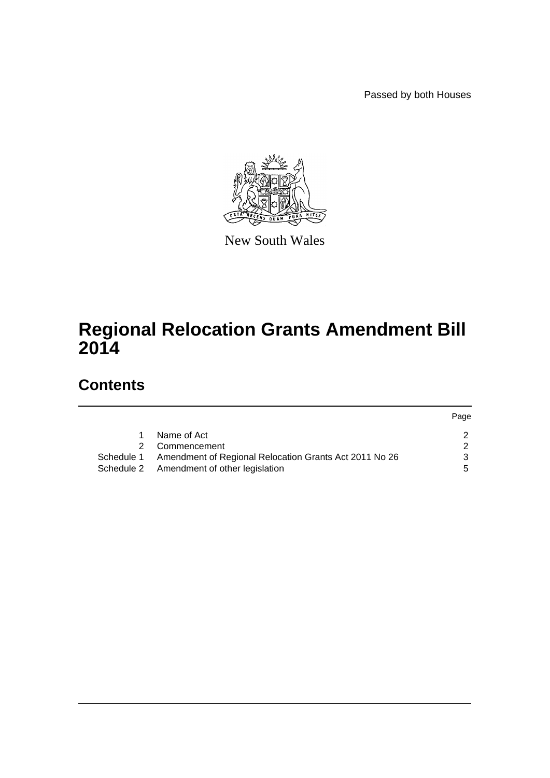Passed by both Houses



New South Wales

# **Regional Relocation Grants Amendment Bill 2014**

# **Contents**

| Page |
|------|
|      |
|      |
|      |
| 5    |
|      |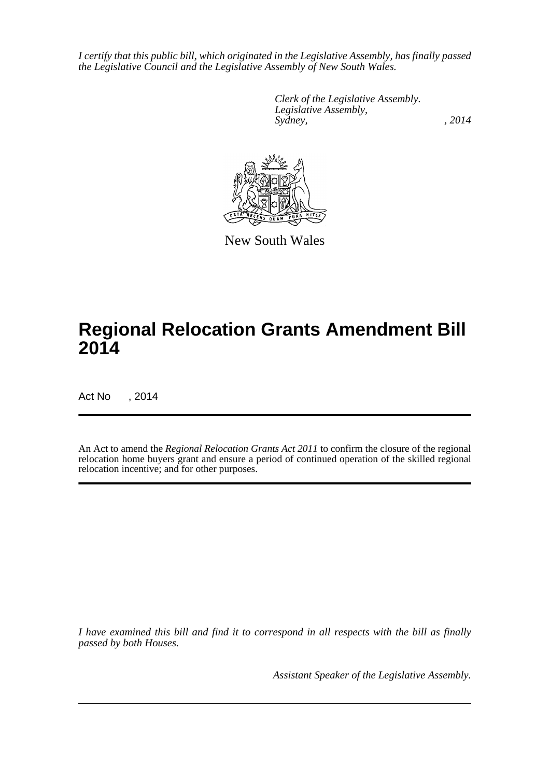*I certify that this public bill, which originated in the Legislative Assembly, has finally passed the Legislative Council and the Legislative Assembly of New South Wales.*

> *Clerk of the Legislative Assembly. Legislative Assembly, Sydney,* , 2014



New South Wales

# **Regional Relocation Grants Amendment Bill 2014**

Act No , 2014

An Act to amend the *Regional Relocation Grants Act 2011* to confirm the closure of the regional relocation home buyers grant and ensure a period of continued operation of the skilled regional relocation incentive; and for other purposes.

*I have examined this bill and find it to correspond in all respects with the bill as finally passed by both Houses.*

*Assistant Speaker of the Legislative Assembly.*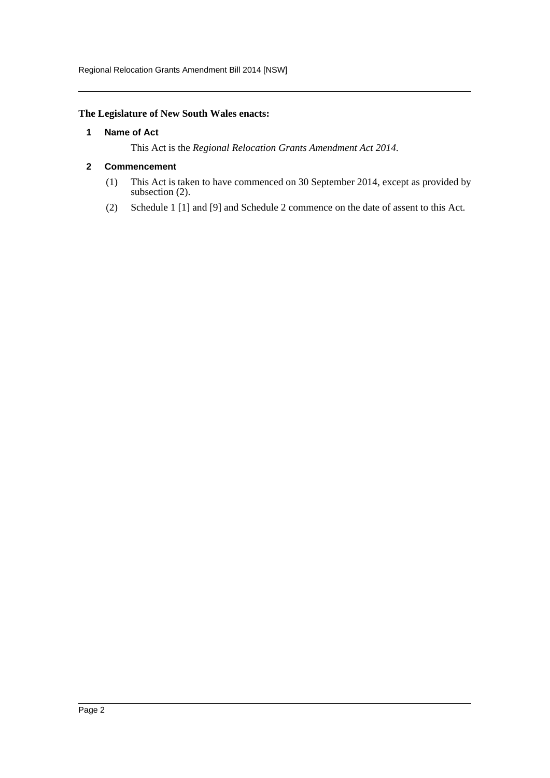Regional Relocation Grants Amendment Bill 2014 [NSW]

#### <span id="page-2-0"></span>**The Legislature of New South Wales enacts:**

#### **1 Name of Act**

This Act is the *Regional Relocation Grants Amendment Act 2014*.

#### <span id="page-2-1"></span>**2 Commencement**

- (1) This Act is taken to have commenced on 30 September 2014, except as provided by subsection (2).
- (2) Schedule 1 [1] and [9] and Schedule 2 commence on the date of assent to this Act.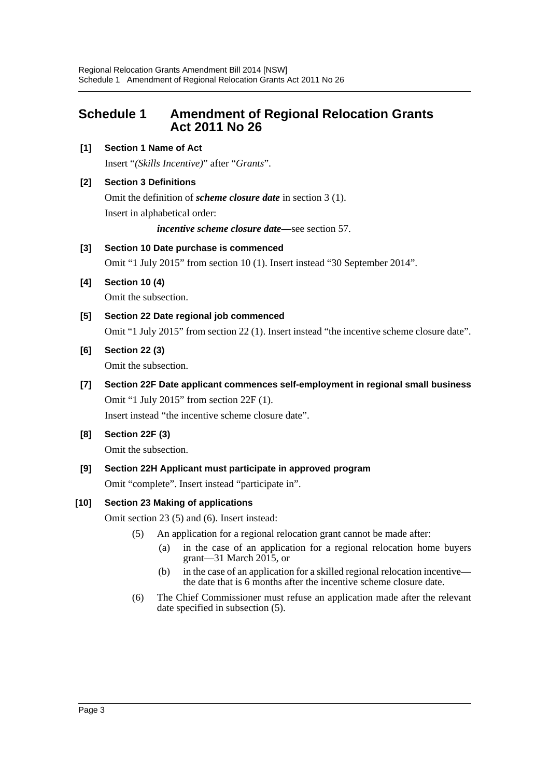## <span id="page-3-0"></span>**Schedule 1 Amendment of Regional Relocation Grants Act 2011 No 26**

#### **[1] Section 1 Name of Act**

Insert "*(Skills Incentive)*" after "*Grants*".

#### **[2] Section 3 Definitions**

Omit the definition of *scheme closure date* in section 3 (1). Insert in alphabetical order:

*incentive scheme closure date*—see section 57.

#### **[3] Section 10 Date purchase is commenced**

Omit "1 July 2015" from section 10 (1). Insert instead "30 September 2014".

- **[4] Section 10 (4)** Omit the subsection.
- **[5] Section 22 Date regional job commenced** Omit "1 July 2015" from section 22 (1). Insert instead "the incentive scheme closure date".
- **[6] Section 22 (3)**

Omit the subsection.

**[7] Section 22F Date applicant commences self-employment in regional small business** Omit "1 July 2015" from section 22F (1).

Insert instead "the incentive scheme closure date".

**[8] Section 22F (3)**

Omit the subsection.

**[9] Section 22H Applicant must participate in approved program**

Omit "complete". Insert instead "participate in".

#### **[10] Section 23 Making of applications**

Omit section 23 (5) and (6). Insert instead:

- (5) An application for a regional relocation grant cannot be made after:
	- (a) in the case of an application for a regional relocation home buyers grant—31 March 2015, or
	- (b) in the case of an application for a skilled regional relocation incentive the date that is 6 months after the incentive scheme closure date.
- (6) The Chief Commissioner must refuse an application made after the relevant date specified in subsection (5).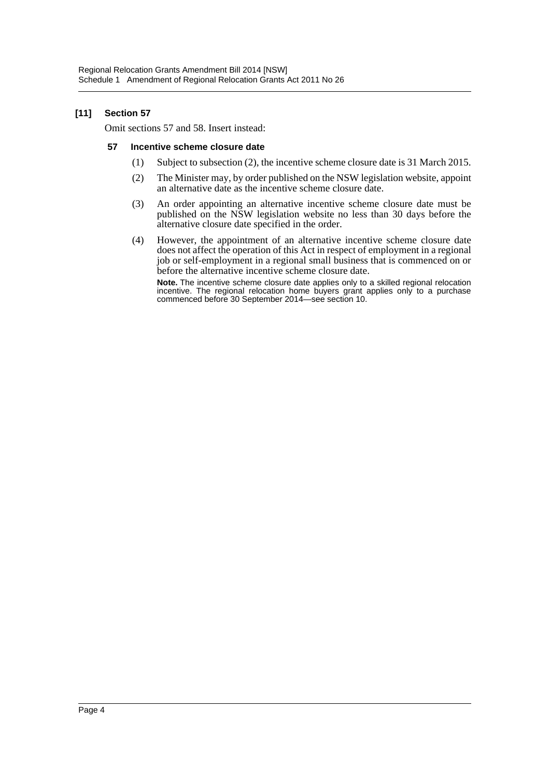#### **[11] Section 57**

Omit sections 57 and 58. Insert instead:

#### **57 Incentive scheme closure date**

- (1) Subject to subsection (2), the incentive scheme closure date is 31 March 2015.
- (2) The Minister may, by order published on the NSW legislation website, appoint an alternative date as the incentive scheme closure date.
- (3) An order appointing an alternative incentive scheme closure date must be published on the NSW legislation website no less than 30 days before the alternative closure date specified in the order.
- (4) However, the appointment of an alternative incentive scheme closure date does not affect the operation of this Act in respect of employment in a regional job or self-employment in a regional small business that is commenced on or before the alternative incentive scheme closure date.

**Note.** The incentive scheme closure date applies only to a skilled regional relocation incentive. The regional relocation home buyers grant applies only to a purchase commenced before 30 September 2014—see section 10.